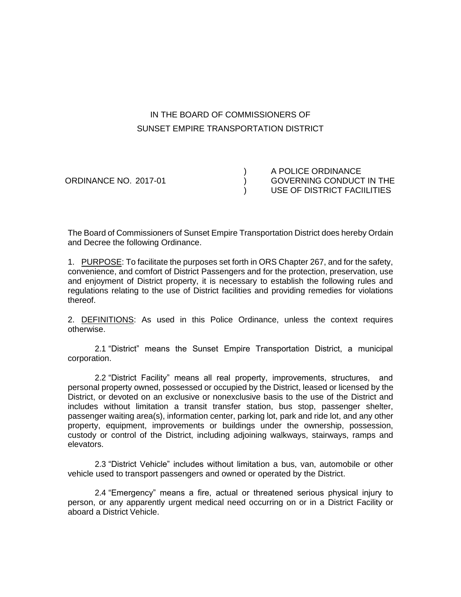# IN THE BOARD OF COMMISSIONERS OF SUNSET EMPIRE TRANSPORTATION DISTRICT

) A POLICE ORDINANCE ORDINANCE NO. 2017-01 ) GOVERNING CONDUCT IN THE ) USE OF DISTRICT FACIILITIES

The Board of Commissioners of Sunset Empire Transportation District does hereby Ordain and Decree the following Ordinance.

1. PURPOSE: To facilitate the purposes set forth in ORS Chapter 267, and for the safety, convenience, and comfort of District Passengers and for the protection, preservation, use and enjoyment of District property, it is necessary to establish the following rules and regulations relating to the use of District facilities and providing remedies for violations thereof.

2. DEFINITIONS: As used in this Police Ordinance, unless the context requires otherwise.

2.1 "District" means the Sunset Empire Transportation District, a municipal corporation.

2.2 "District Facility" means all real property, improvements, structures, and personal property owned, possessed or occupied by the District, leased or licensed by the District, or devoted on an exclusive or nonexclusive basis to the use of the District and includes without limitation a transit transfer station, bus stop, passenger shelter, passenger waiting area(s), information center, parking lot, park and ride lot, and any other property, equipment, improvements or buildings under the ownership, possession, custody or control of the District, including adjoining walkways, stairways, ramps and elevators.

2.3 "District Vehicle" includes without limitation a bus, van, automobile or other vehicle used to transport passengers and owned or operated by the District.

2.4 "Emergency" means a fire, actual or threatened serious physical injury to person, or any apparently urgent medical need occurring on or in a District Facility or aboard a District Vehicle.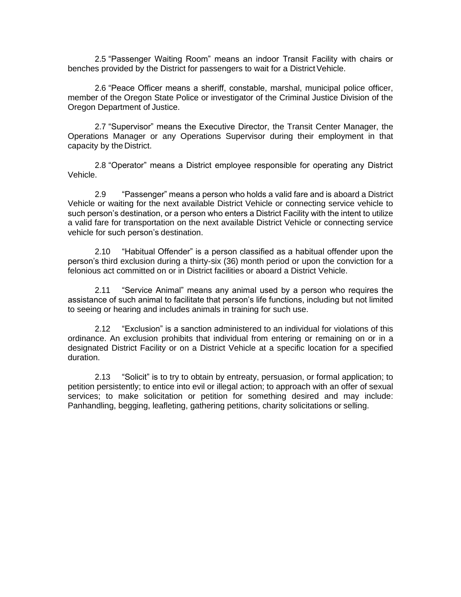2.5 "Passenger Waiting Room" means an indoor Transit Facility with chairs or benches provided by the District for passengers to wait for a District Vehicle.

2.6 "Peace Officer means a sheriff, constable, marshal, municipal police officer, member of the Oregon State Police or investigator of the Criminal Justice Division of the Oregon Department of Justice.

2.7 "Supervisor" means the Executive Director, the Transit Center Manager, the Operations Manager or any Operations Supervisor during their employment in that capacity by the District.

2.8 "Operator" means a District employee responsible for operating any District Vehicle.

2.9 "Passenger" means a person who holds a valid fare and is aboard a District Vehicle or waiting for the next available District Vehicle or connecting service vehicle to such person's destination, or a person who enters a District Facility with the intent to utilize a valid fare for transportation on the next available District Vehicle or connecting service vehicle for such person's destination.

2.10 "Habitual Offender" is a person classified as a habitual offender upon the person's third exclusion during a thirty-six (36) month period or upon the conviction for a felonious act committed on or in District facilities or aboard a District Vehicle.

2.11 "Service Animal" means any animal used by a person who requires the assistance of such animal to facilitate that person's life functions, including but not limited to seeing or hearing and includes animals in training for such use.

2.12 "Exclusion" is a sanction administered to an individual for violations of this ordinance. An exclusion prohibits that individual from entering or remaining on or in a designated District Facility or on a District Vehicle at a specific location for a specified duration.

2.13 "Solicit" is to try to obtain by entreaty, persuasion, or formal application; to petition persistently; to entice into evil or illegal action; to approach with an offer of sexual services; to make solicitation or petition for something desired and may include: Panhandling, begging, leafleting, gathering petitions, charity solicitations or selling.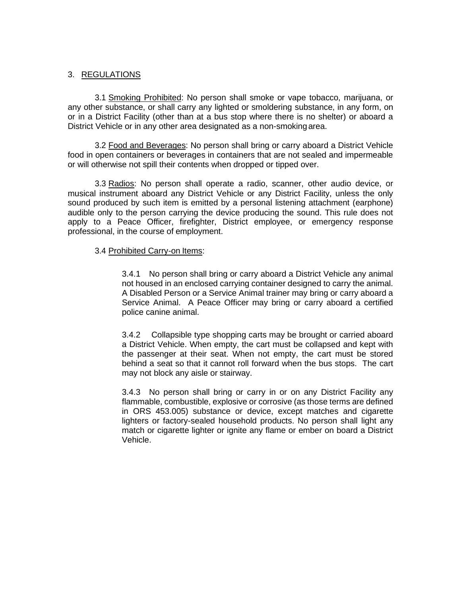## 3. REGULATIONS

3.1 Smoking Prohibited: No person shall smoke or vape tobacco, marijuana, or any other substance, or shall carry any lighted or smoldering substance, in any form, on or in a District Facility (other than at a bus stop where there is no shelter) or aboard a District Vehicle or in any other area designated as a non-smoking area.

3.2 Food and Beverages: No person shall bring or carry aboard a District Vehicle food in open containers or beverages in containers that are not sealed and impermeable or will otherwise not spill their contents when dropped or tipped over.

3.3 Radios: No person shall operate a radio, scanner, other audio device, or musical instrument aboard any District Vehicle or any District Facility, unless the only sound produced by such item is emitted by a personal listening attachment (earphone) audible only to the person carrying the device producing the sound. This rule does not apply to a Peace Officer, firefighter, District employee, or emergency response professional, in the course of employment.

#### 3.4 Prohibited Carry-on Items:

3.4.1 No person shall bring or carry aboard a District Vehicle any animal not housed in an enclosed carrying container designed to carry the animal. A Disabled Person or a Service Animal trainer may bring or carry aboard a Service Animal. A Peace Officer may bring or carry aboard a certified police canine animal.

3.4.2 Collapsible type shopping carts may be brought or carried aboard a District Vehicle. When empty, the cart must be collapsed and kept with the passenger at their seat. When not empty, the cart must be stored behind a seat so that it cannot roll forward when the bus stops. The cart may not block any aisle or stairway.

3.4.3 No person shall bring or carry in or on any District Facility any flammable, combustible, explosive or corrosive (as those terms are defined in ORS 453.005) substance or device, except matches and cigarette lighters or factory-sealed household products. No person shall light any match or cigarette lighter or ignite any flame or ember on board a District Vehicle.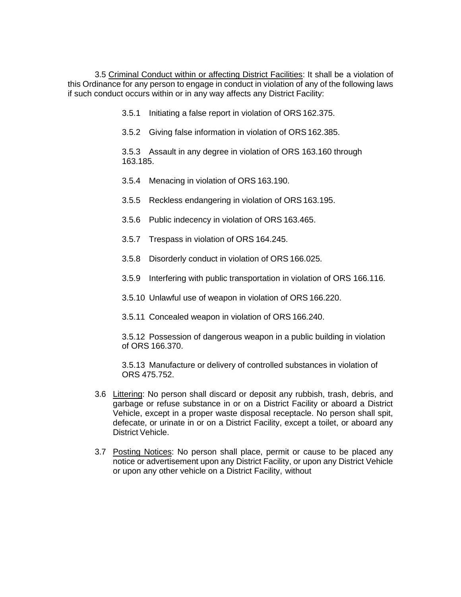3.5 Criminal Conduct within or affecting District Facilities: It shall be a violation of this Ordinance for any person to engage in conduct in violation of any of the following laws if such conduct occurs within or in any way affects any District Facility:

- 3.5.1 Initiating a false report in violation of ORS 162.375.
- 3.5.2 Giving false information in violation of ORS162.385.

3.5.3 Assault in any degree in violation of ORS 163.160 through 163.185.

- 3.5.4 Menacing in violation of ORS 163.190.
- 3.5.5 Reckless endangering in violation of ORS163.195.
- 3.5.6 Public indecency in violation of ORS 163.465.
- 3.5.7 Trespass in violation of ORS 164.245.
- 3.5.8 Disorderly conduct in violation of ORS 166.025.
- 3.5.9 Interfering with public transportation in violation of ORS 166.116.
- 3.5.10 Unlawful use of weapon in violation of ORS 166.220.
- 3.5.11 Concealed weapon in violation of ORS 166.240.

3.5.12 Possession of dangerous weapon in a public building in violation of ORS 166.370.

3.5.13 Manufacture or delivery of controlled substances in violation of ORS 475.752.

- 3.6 Littering: No person shall discard or deposit any rubbish, trash, debris, and garbage or refuse substance in or on a District Facility or aboard a District Vehicle, except in a proper waste disposal receptacle. No person shall spit, defecate, or urinate in or on a District Facility, except a toilet, or aboard any District Vehicle.
- 3.7 Posting Notices: No person shall place, permit or cause to be placed any notice or advertisement upon any District Facility, or upon any District Vehicle or upon any other vehicle on a District Facility, without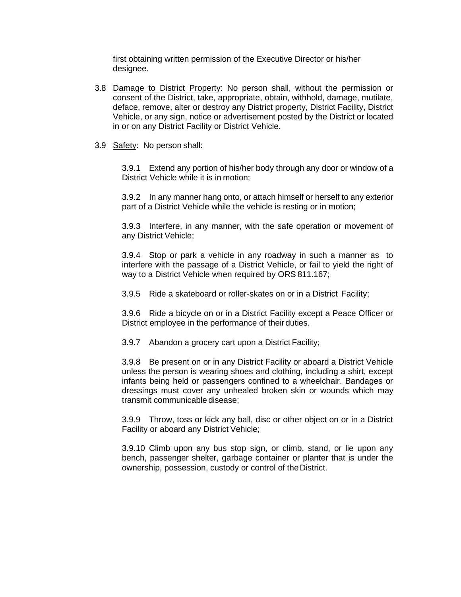first obtaining written permission of the Executive Director or his/her designee.

- 3.8 Damage to District Property: No person shall, without the permission or consent of the District, take, appropriate, obtain, withhold, damage, mutilate, deface, remove, alter or destroy any District property, District Facility, District Vehicle, or any sign, notice or advertisement posted by the District or located in or on any District Facility or District Vehicle.
- 3.9 Safety: No person shall:

3.9.1 Extend any portion of his/her body through any door or window of a District Vehicle while it is in motion;

3.9.2 In any manner hang onto, or attach himself or herself to any exterior part of a District Vehicle while the vehicle is resting or in motion;

3.9.3 Interfere, in any manner, with the safe operation or movement of any District Vehicle;

3.9.4 Stop or park a vehicle in any roadway in such a manner as to interfere with the passage of a District Vehicle, or fail to yield the right of way to a District Vehicle when required by ORS 811.167;

3.9.5 Ride a skateboard or roller-skates on or in a District Facility;

3.9.6 Ride a bicycle on or in a District Facility except a Peace Officer or District employee in the performance of their duties.

3.9.7 Abandon a grocery cart upon a District Facility;

3.9.8 Be present on or in any District Facility or aboard a District Vehicle unless the person is wearing shoes and clothing, including a shirt, except infants being held or passengers confined to a wheelchair. Bandages or dressings must cover any unhealed broken skin or wounds which may transmit communicable disease;

3.9.9 Throw, toss or kick any ball, disc or other object on or in a District Facility or aboard any District Vehicle;

3.9.10 Climb upon any bus stop sign, or climb, stand, or lie upon any bench, passenger shelter, garbage container or planter that is under the ownership, possession, custody or control of the District.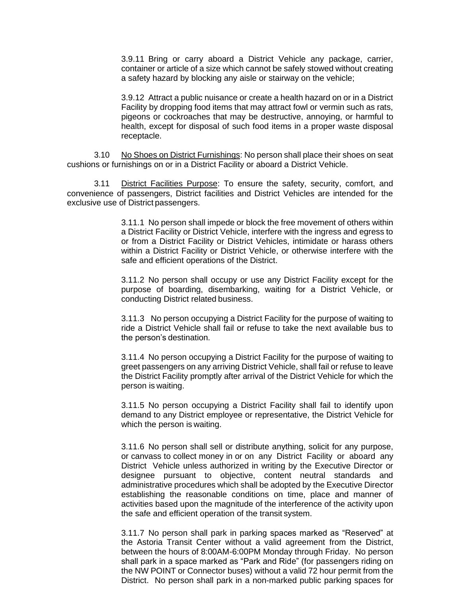3.9.11 Bring or carry aboard a District Vehicle any package, carrier, container or article of a size which cannot be safely stowed without creating a safety hazard by blocking any aisle or stairway on the vehicle;

3.9.12 Attract a public nuisance or create a health hazard on or in a District Facility by dropping food items that may attract fowl or vermin such as rats, pigeons or cockroaches that may be destructive, annoying, or harmful to health, except for disposal of such food items in a proper waste disposal receptacle.

3.10 No Shoes on District Furnishings: No person shall place their shoes on seat cushions or furnishings on or in a District Facility or aboard a District Vehicle.

3.11 District Facilities Purpose: To ensure the safety, security, comfort, and convenience of passengers, District facilities and District Vehicles are intended for the exclusive use of District passengers.

> 3.11.1 No person shall impede or block the free movement of others within a District Facility or District Vehicle, interfere with the ingress and egress to or from a District Facility or District Vehicles, intimidate or harass others within a District Facility or District Vehicle, or otherwise interfere with the safe and efficient operations of the District.

> 3.11.2 No person shall occupy or use any District Facility except for the purpose of boarding, disembarking, waiting for a District Vehicle, or conducting District related business.

> 3.11.3 No person occupying a District Facility for the purpose of waiting to ride a District Vehicle shall fail or refuse to take the next available bus to the person's destination.

> 3.11.4 No person occupying a District Facility for the purpose of waiting to greet passengers on any arriving District Vehicle, shall fail or refuse to leave the District Facility promptly after arrival of the District Vehicle for which the person is waiting.

> 3.11.5 No person occupying a District Facility shall fail to identify upon demand to any District employee or representative, the District Vehicle for which the person is waiting.

> 3.11.6 No person shall sell or distribute anything, solicit for any purpose, or canvass to collect money in or on any District Facility or aboard any District Vehicle unless authorized in writing by the Executive Director or designee pursuant to objective, content neutral standards and administrative procedures which shall be adopted by the Executive Director establishing the reasonable conditions on time, place and manner of activities based upon the magnitude of the interference of the activity upon the safe and efficient operation of the transit system.

> 3.11.7 No person shall park in parking spaces marked as "Reserved" at the Astoria Transit Center without a valid agreement from the District, between the hours of 8:00AM-6:00PM Monday through Friday. No person shall park in a space marked as "Park and Ride" (for passengers riding on the NW POINT or Connector buses) without a valid 72 hour permit from the District. No person shall park in a non-marked public parking spaces for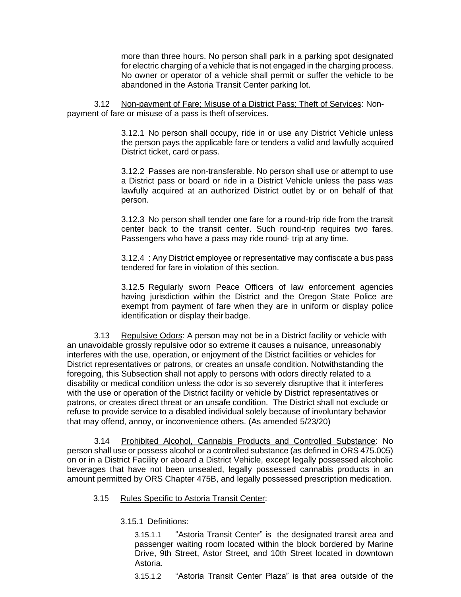more than three hours. No person shall park in a parking spot designated for electric charging of a vehicle that is not engaged in the charging process. No owner or operator of a vehicle shall permit or suffer the vehicle to be abandoned in the Astoria Transit Center parking lot.

3.12 Non-payment of Fare; Misuse of a District Pass; Theft of Services: Nonpayment of fare or misuse of a pass is theft of services.

> 3.12.1 No person shall occupy, ride in or use any District Vehicle unless the person pays the applicable fare or tenders a valid and lawfully acquired District ticket, card or pass.

> 3.12.2 Passes are non-transferable. No person shall use or attempt to use a District pass or board or ride in a District Vehicle unless the pass was lawfully acquired at an authorized District outlet by or on behalf of that person.

> 3.12.3 No person shall tender one fare for a round-trip ride from the transit center back to the transit center. Such round-trip requires two fares. Passengers who have a pass may ride round- trip at any time.

> 3.12.4 : Any District employee or representative may confiscate a bus pass tendered for fare in violation of this section.

> 3.12.5 Regularly sworn Peace Officers of law enforcement agencies having jurisdiction within the District and the Oregon State Police are exempt from payment of fare when they are in uniform or display police identification or display their badge.

3.13 Repulsive Odors: A person may not be in a District facility or vehicle with an unavoidable grossly repulsive odor so extreme it causes a nuisance, unreasonably interferes with the use, operation, or enjoyment of the District facilities or vehicles for District representatives or patrons, or creates an unsafe condition. Notwithstanding the foregoing, this Subsection shall not apply to persons with odors directly related to a disability or medical condition unless the odor is so severely disruptive that it interferes with the use or operation of the District facility or vehicle by District representatives or patrons, or creates direct threat or an unsafe condition. The District shall not exclude or refuse to provide service to a disabled individual solely because of involuntary behavior that may offend, annoy, or inconvenience others. (As amended 5/23/20)

3.14 Prohibited Alcohol, Cannabis Products and Controlled Substance: No person shall use or possess alcohol or a controlled substance (as defined in ORS 475.005) on or in a District Facility or aboard a District Vehicle, except legally possessed alcoholic beverages that have not been unsealed, legally possessed cannabis products in an amount permitted by ORS Chapter 475B, and legally possessed prescription medication.

### 3.15 Rules Specific to Astoria Transit Center:

#### 3.15.1 Definitions:

3.15.1.1 "Astoria Transit Center" is the designated transit area and passenger waiting room located within the block bordered by Marine Drive, 9th Street, Astor Street, and 10th Street located in downtown Astoria.

3.15.1.2 "Astoria Transit Center Plaza" is that area outside of the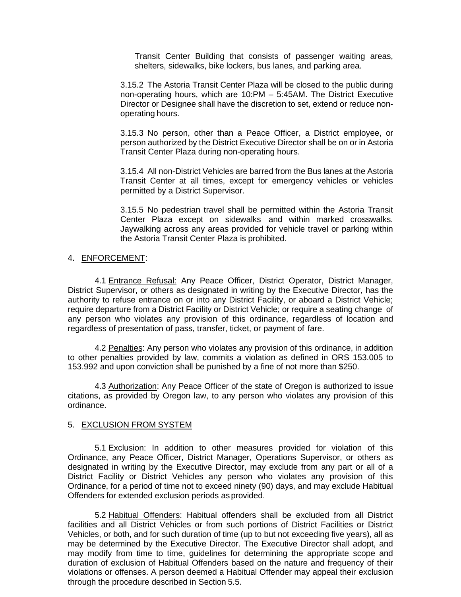Transit Center Building that consists of passenger waiting areas, shelters, sidewalks, bike lockers, bus lanes, and parking area.

3.15.2 The Astoria Transit Center Plaza will be closed to the public during non-operating hours, which are 10:PM – 5:45AM. The District Executive Director or Designee shall have the discretion to set, extend or reduce nonoperating hours.

3.15.3 No person, other than a Peace Officer, a District employee, or person authorized by the District Executive Director shall be on or in Astoria Transit Center Plaza during non-operating hours.

3.15.4 All non-District Vehicles are barred from the Bus lanes at the Astoria Transit Center at all times, except for emergency vehicles or vehicles permitted by a District Supervisor.

3.15.5 No pedestrian travel shall be permitted within the Astoria Transit Center Plaza except on sidewalks and within marked crosswalks. Jaywalking across any areas provided for vehicle travel or parking within the Astoria Transit Center Plaza is prohibited.

#### 4. ENFORCEMENT:

4.1 Entrance Refusal: Any Peace Officer, District Operator, District Manager, District Supervisor, or others as designated in writing by the Executive Director, has the authority to refuse entrance on or into any District Facility, or aboard a District Vehicle; require departure from a District Facility or District Vehicle; or require a seating change of any person who violates any provision of this ordinance, regardless of location and regardless of presentation of pass, transfer, ticket, or payment of fare.

4.2 Penalties: Any person who violates any provision of this ordinance, in addition to other penalties provided by law, commits a violation as defined in ORS 153.005 to 153.992 and upon conviction shall be punished by a fine of not more than \$250.

4.3 Authorization: Any Peace Officer of the state of Oregon is authorized to issue citations, as provided by Oregon law, to any person who violates any provision of this ordinance.

#### 5. EXCLUSION FROM SYSTEM

5.1 Exclusion: In addition to other measures provided for violation of this Ordinance, any Peace Officer, District Manager, Operations Supervisor, or others as designated in writing by the Executive Director, may exclude from any part or all of a District Facility or District Vehicles any person who violates any provision of this Ordinance, for a period of time not to exceed ninety (90) days, and may exclude Habitual Offenders for extended exclusion periods as provided.

5.2 Habitual Offenders: Habitual offenders shall be excluded from all District facilities and all District Vehicles or from such portions of District Facilities or District Vehicles, or both, and for such duration of time (up to but not exceeding five years), all as may be determined by the Executive Director. The Executive Director shall adopt, and may modify from time to time, guidelines for determining the appropriate scope and duration of exclusion of Habitual Offenders based on the nature and frequency of their violations or offenses. A person deemed a Habitual Offender may appeal their exclusion through the procedure described in Section 5.5.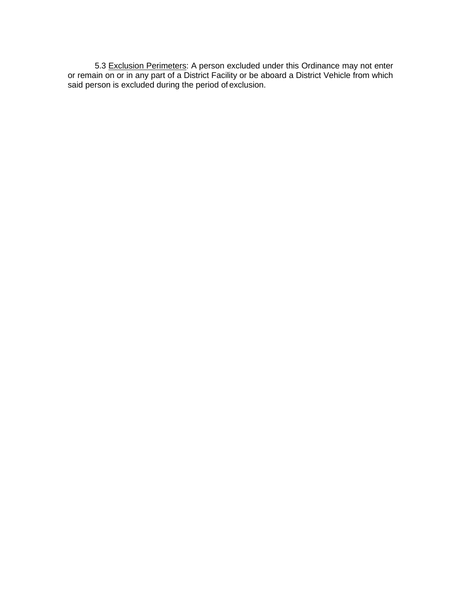5.3 Exclusion Perimeters: A person excluded under this Ordinance may not enter or remain on or in any part of a District Facility or be aboard a District Vehicle from which said person is excluded during the period of exclusion.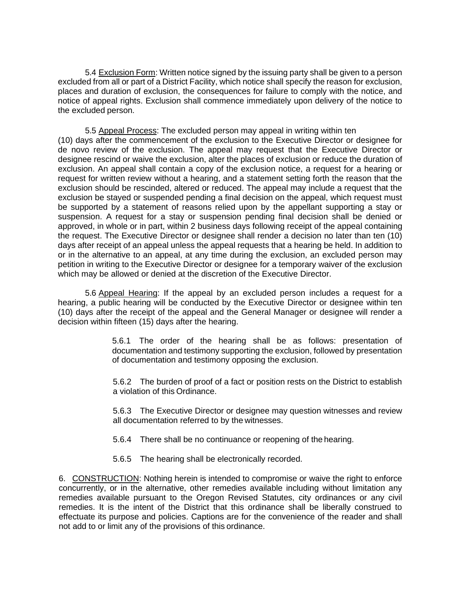5.4 Exclusion Form: Written notice signed by the issuing party shall be given to a person excluded from all or part of a District Facility, which notice shall specify the reason for exclusion, places and duration of exclusion, the consequences for failure to comply with the notice, and notice of appeal rights. Exclusion shall commence immediately upon delivery of the notice to the excluded person.

5.5 Appeal Process: The excluded person may appeal in writing within ten (10) days after the commencement of the exclusion to the Executive Director or designee for de novo review of the exclusion. The appeal may request that the Executive Director or designee rescind or waive the exclusion, alter the places of exclusion or reduce the duration of exclusion. An appeal shall contain a copy of the exclusion notice, a request for a hearing or request for written review without a hearing, and a statement setting forth the reason that the exclusion should be rescinded, altered or reduced. The appeal may include a request that the exclusion be stayed or suspended pending a final decision on the appeal, which request must be supported by a statement of reasons relied upon by the appellant supporting a stay or suspension. A request for a stay or suspension pending final decision shall be denied or approved, in whole or in part, within 2 business days following receipt of the appeal containing the request. The Executive Director or designee shall render a decision no later than ten (10) days after receipt of an appeal unless the appeal requests that a hearing be held. In addition to or in the alternative to an appeal, at any time during the exclusion, an excluded person may petition in writing to the Executive Director or designee for a temporary waiver of the exclusion which may be allowed or denied at the discretion of the Executive Director.

5.6 Appeal Hearing: If the appeal by an excluded person includes a request for a hearing, a public hearing will be conducted by the Executive Director or designee within ten (10) days after the receipt of the appeal and the General Manager or designee will render a decision within fifteen (15) days after the hearing.

> 5.6.1 The order of the hearing shall be as follows: presentation of documentation and testimony supporting the exclusion, followed by presentation of documentation and testimony opposing the exclusion.

> 5.6.2 The burden of proof of a fact or position rests on the District to establish a violation of this Ordinance.

> 5.6.3 The Executive Director or designee may question witnesses and review all documentation referred to by the witnesses.

5.6.4 There shall be no continuance or reopening of the hearing.

5.6.5 The hearing shall be electronically recorded.

6. CONSTRUCTION: Nothing herein is intended to compromise or waive the right to enforce concurrently, or in the alternative, other remedies available including without limitation any remedies available pursuant to the Oregon Revised Statutes, city ordinances or any civil remedies. It is the intent of the District that this ordinance shall be liberally construed to effectuate its purpose and policies. Captions are for the convenience of the reader and shall not add to or limit any of the provisions of this ordinance.